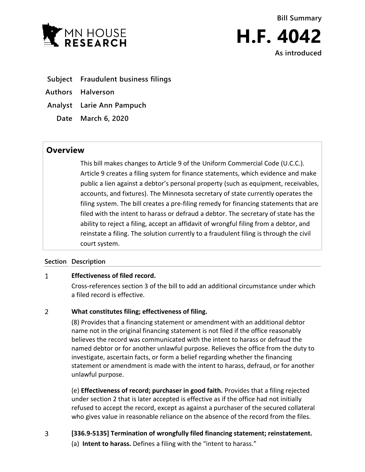

**Bill Summary H.F. 4042 As introduced**

- **Subject Fraudulent business filings**
- **Authors Halverson**
- **Analyst Larie Ann Pampuch**
	- **Date March 6, 2020**

# **Overview**

This bill makes changes to Article 9 of the Uniform Commercial Code (U.C.C.). Article 9 creates a filing system for finance statements, which evidence and make public a lien against a debtor's personal property (such as equipment, receivables, accounts, and fixtures). The Minnesota secretary of state currently operates the filing system. The bill creates a pre-filing remedy for financing statements that are filed with the intent to harass or defraud a debtor. The secretary of state has the ability to reject a filing, accept an affidavit of wrongful filing from a debtor, and reinstate a filing. The solution currently to a fraudulent filing is through the civil court system.

## **Section Description**

#### $\mathbf{1}$ **Effectiveness of filed record.**

Cross-references section 3 of the bill to add an additional circumstance under which a filed record is effective.

#### $\overline{2}$ **What constitutes filing; effectiveness of filing.**

(8) Provides that a financing statement or amendment with an additional debtor name not in the original financing statement is not filed if the office reasonably believes the record was communicated with the intent to harass or defraud the named debtor or for another unlawful purpose. Relieves the office from the duty to investigate, ascertain facts, or form a belief regarding whether the financing statement or amendment is made with the intent to harass, defraud, or for another unlawful purpose.

(e) **Effectiveness of record; purchaser in good faith.** Provides that a filing rejected under section 2 that is later accepted is effective as if the office had not initially refused to accept the record, except as against a purchaser of the secured collateral who gives value in reasonable reliance on the absence of the record from the files.

 $\overline{3}$ **[336.9-5135] Termination of wrongfully filed financing statement; reinstatement.** (a) **Intent to harass.** Defines a filing with the "intent to harass."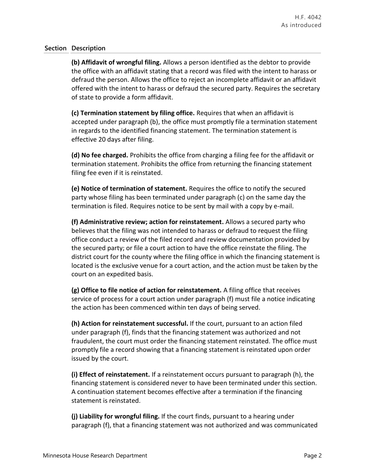## **Section Description**

**(b) Affidavit of wrongful filing.** Allows a person identified as the debtor to provide the office with an affidavit stating that a record was filed with the intent to harass or defraud the person. Allows the office to reject an incomplete affidavit or an affidavit offered with the intent to harass or defraud the secured party. Requires the secretary of state to provide a form affidavit.

**(c) Termination statement by filing office.** Requires that when an affidavit is accepted under paragraph (b), the office must promptly file a termination statement in regards to the identified financing statement. The termination statement is effective 20 days after filing.

**(d) No fee charged.** Prohibits the office from charging a filing fee for the affidavit or termination statement. Prohibits the office from returning the financing statement filing fee even if it is reinstated.

**(e) Notice of termination of statement.** Requires the office to notify the secured party whose filing has been terminated under paragraph (c) on the same day the termination is filed. Requires notice to be sent by mail with a copy by e-mail.

**(f) Administrative review; action for reinstatement.** Allows a secured party who believes that the filing was not intended to harass or defraud to request the filing office conduct a review of the filed record and review documentation provided by the secured party; or file a court action to have the office reinstate the filing. The district court for the county where the filing office in which the financing statement is located is the exclusive venue for a court action, and the action must be taken by the court on an expedited basis.

**(g) Office to file notice of action for reinstatement.** A filing office that receives service of process for a court action under paragraph (f) must file a notice indicating the action has been commenced within ten days of being served.

**(h) Action for reinstatement successful.** If the court, pursuant to an action filed under paragraph (f), finds that the financing statement was authorized and not fraudulent, the court must order the financing statement reinstated. The office must promptly file a record showing that a financing statement is reinstated upon order issued by the court.

**(i) Effect of reinstatement.** If a reinstatement occurs pursuant to paragraph (h), the financing statement is considered never to have been terminated under this section. A continuation statement becomes effective after a termination if the financing statement is reinstated.

**(j) Liability for wrongful filing.** If the court finds, pursuant to a hearing under paragraph (f), that a financing statement was not authorized and was communicated